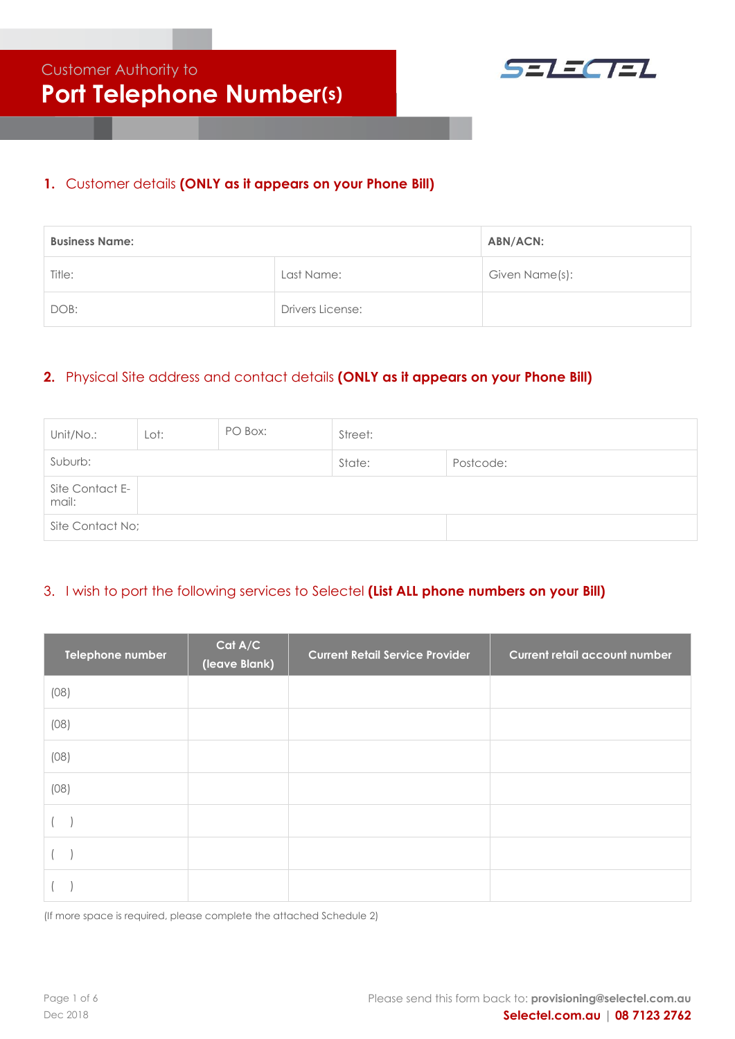

### **1.** Customer details **(ONLY as it appears on your Phone Bill)**

| <b>Business Name:</b> | <b>ABN/ACN:</b>  |                |
|-----------------------|------------------|----------------|
| Title:                | Last Name:       | Given Name(s): |
| DOB:                  | Drivers License: |                |

# **2.** Physical Site address and contact details **(ONLY as it appears on your Phone Bill)**

| Unit/No.:                | Lot: | PO Box: | Street:   |  |
|--------------------------|------|---------|-----------|--|
| Suburb:<br>State:        |      |         | Postcode: |  |
| Site Contact E-<br>mail: |      |         |           |  |
| Site Contact No;         |      |         |           |  |

## 3. I wish to port the following services to Selectel **(List ALL phone numbers on your Bill)**

| Telephone number | Cat A/C<br>(leave Blank) | <b>Current Retail Service Provider</b> | <b>Current retail account number</b> |
|------------------|--------------------------|----------------------------------------|--------------------------------------|
| (08)             |                          |                                        |                                      |
| (08)             |                          |                                        |                                      |
| (08)             |                          |                                        |                                      |
| (08)             |                          |                                        |                                      |
|                  |                          |                                        |                                      |
|                  |                          |                                        |                                      |
|                  |                          |                                        |                                      |

(If more space is required, please complete the attached Schedule 2)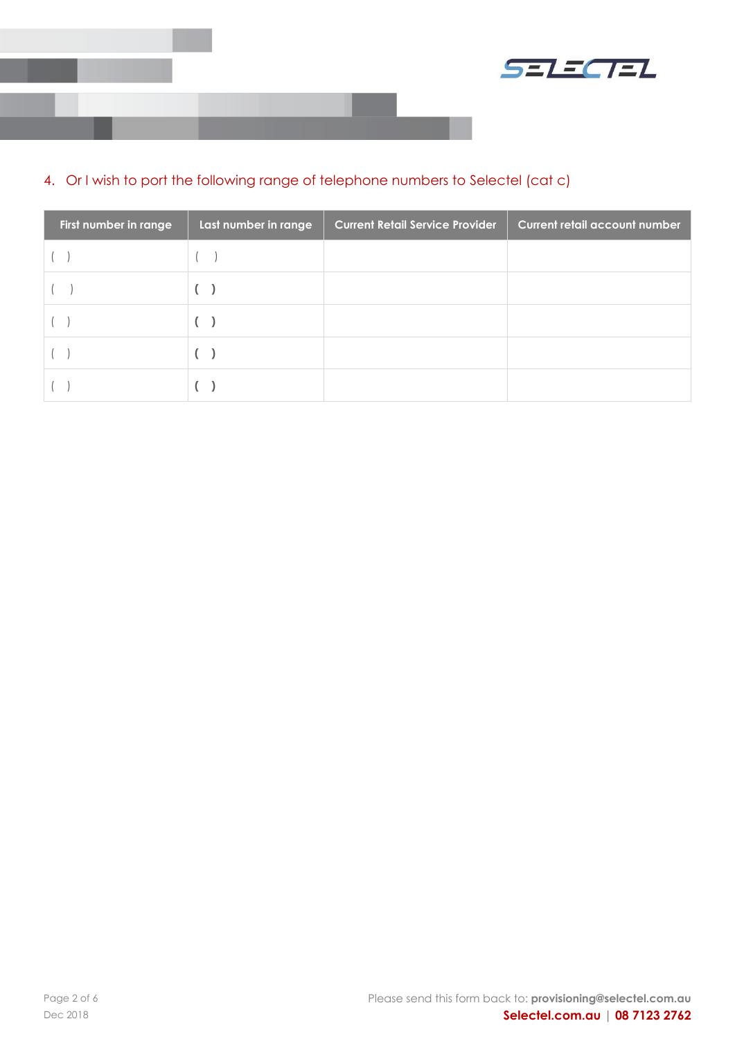



# 4. Or I wish to port the following range of telephone numbers to Selectel (cat c)

| First number in range | Last number in range | <b>Current Retail Service Provider</b> | <b>Current retail account number</b> |
|-----------------------|----------------------|----------------------------------------|--------------------------------------|
|                       |                      |                                        |                                      |
|                       |                      |                                        |                                      |
|                       |                      |                                        |                                      |
|                       |                      |                                        |                                      |
|                       |                      |                                        |                                      |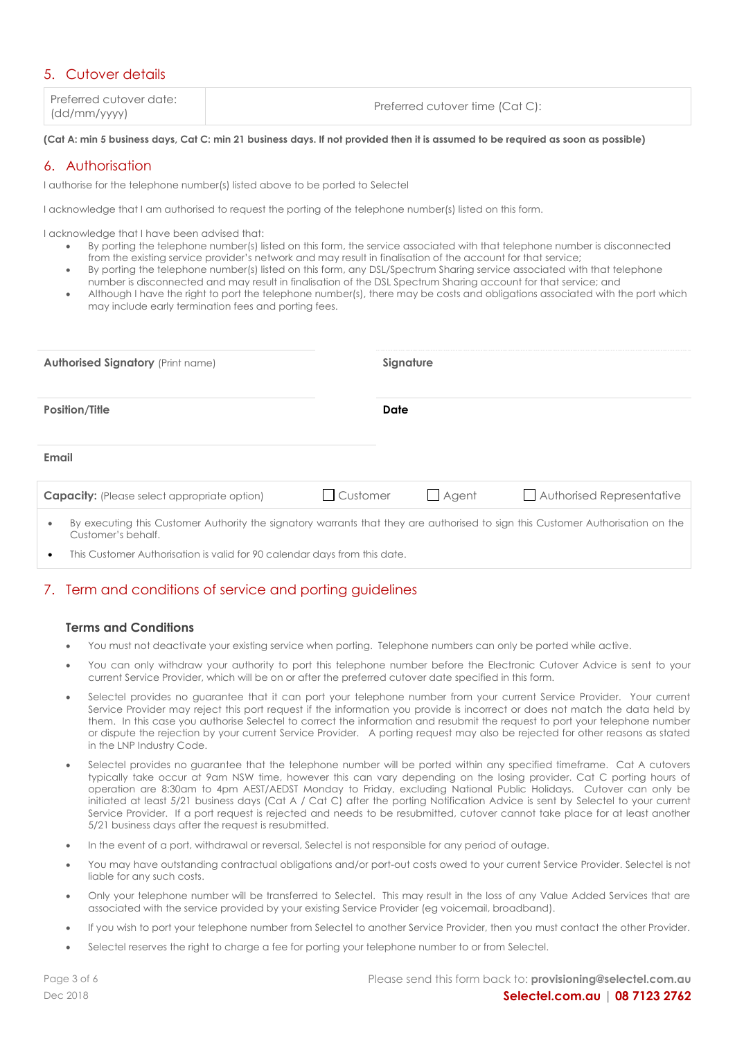### 5. Cutover details

| Preferred cutover date: | Preferred cutover time (Cat C): |
|-------------------------|---------------------------------|
| (dd/mm/yyyy)            |                                 |

#### **(Cat A: min 5 business days, Cat C: min 21 business days. If not provided then it is assumed to be required as soon as possible)**

### 6. Authorisation

I authorise for the telephone number(s) listed above to be ported to Selectel

I acknowledge that I am authorised to request the porting of the telephone number(s) listed on this form.

I acknowledge that I have been advised that:

- By porting the telephone number(s) listed on this form, the service associated with that telephone number is disconnected from the existing service provider's network and may result in finalisation of the account for that service;
- By porting the telephone number(s) listed on this form, any DSL/Spectrum Sharing service associated with that telephone
- number is disconnected and may result in finalisation of the DSL Spectrum Sharing account for that service; and • Although I have the right to port the telephone number(s), there may be costs and obligations associated with the port which may include early termination fees and porting fees.

| <b>Authorised Signatory (Print name)</b>                                                                                                                           |          | Signature    |                           |  |
|--------------------------------------------------------------------------------------------------------------------------------------------------------------------|----------|--------------|---------------------------|--|
| <b>Position/Title</b>                                                                                                                                              | Date     |              |                           |  |
| Email                                                                                                                                                              |          |              |                           |  |
| <b>Capacity:</b> (Please select appropriate option)                                                                                                                | Customer | $\Box$ Agent | Authorised Representative |  |
| By executing this Customer Authority the signatory warrants that they are authorised to sign this Customer Authorisation on the<br>$\bullet$<br>Customer's behalf. |          |              |                           |  |

This Customer Authorisation is valid for 90 calendar days from this date.

## 7. Term and conditions of service and porting guidelines

#### **Terms and Conditions**

- You must not deactivate your existing service when porting. Telephone numbers can only be ported while active.
- You can only withdraw your authority to port this telephone number before the Electronic Cutover Advice is sent to your current Service Provider, which will be on or after the preferred cutover date specified in this form.
- Selectel provides no guarantee that it can port your telephone number from your current Service Provider. Your current Service Provider may reject this port request if the information you provide is incorrect or does not match the data held by them. In this case you authorise Selectel to correct the information and resubmit the request to port your telephone number or dispute the rejection by your current Service Provider. A porting request may also be rejected for other reasons as stated in the LNP Industry Code.
- Selectel provides no guarantee that the telephone number will be ported within any specified timeframe. Cat A cutovers typically take occur at 9am NSW time, however this can vary depending on the losing provider. Cat C porting hours of operation are 8:30am to 4pm AEST/AEDST Monday to Friday, excluding National Public Holidays. Cutover can only be initiated at least 5/21 business days (Cat A / Cat C) after the porting Notification Advice is sent by Selectel to your current Service Provider. If a port request is rejected and needs to be resubmitted, cutover cannot take place for at least another 5/21 business days after the request is resubmitted.
- In the event of a port, withdrawal or reversal, Selectel is not responsible for any period of outage.
- You may have outstanding contractual obligations and/or port-out costs owed to your current Service Provider. Selectel is not liable for any such costs.
- Only your telephone number will be transferred to Selectel. This may result in the loss of any Value Added Services that are associated with the service provided by your existing Service Provider (eg voicemail, broadband).
- If you wish to port your telephone number from Selectel to another Service Provider, then you must contact the other Provider.
- Selectel reserves the right to charge a fee for porting your telephone number to or from Selectel.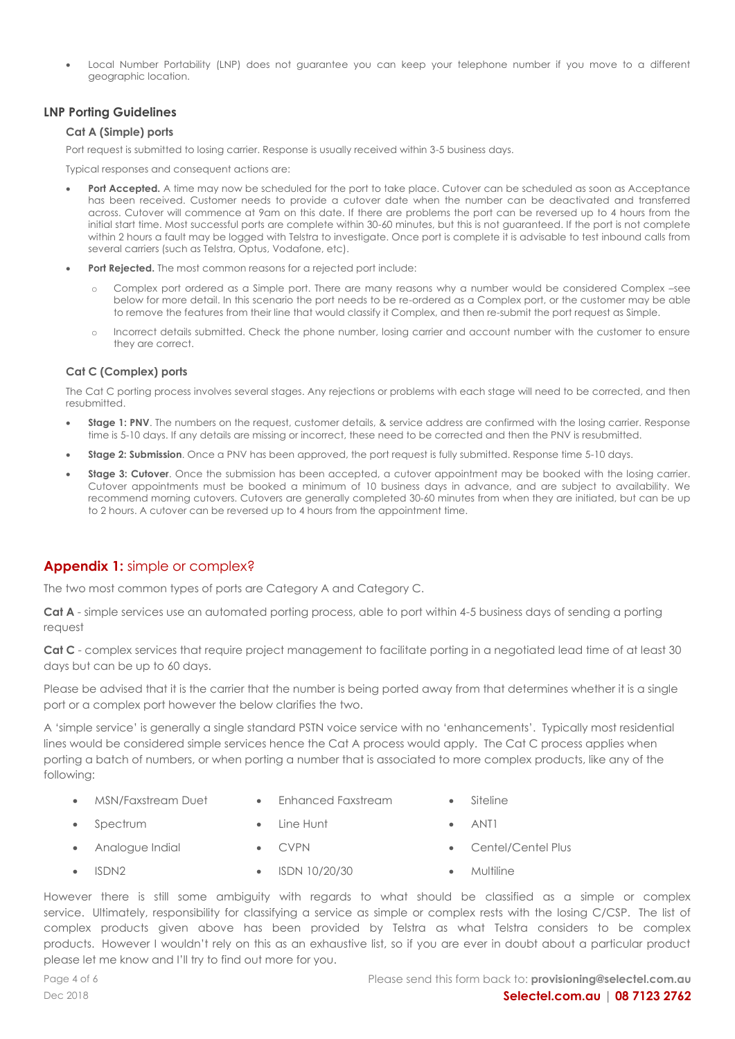• Local Number Portability (LNP) does not guarantee you can keep your telephone number if you move to a different geographic location.

#### **LNP Porting Guidelines**

#### **Cat A (Simple) ports**

Port request is submitted to losing carrier. Response is usually received within 3-5 business days.

Typical responses and consequent actions are:

- Port Accepted. A time may now be scheduled for the port to take place. Cutover can be scheduled as soon as Acceptance has been received. Customer needs to provide a cutover date when the number can be deactivated and transferred across. Cutover will commence at 9am on this date. If there are problems the port can be reversed up to 4 hours from the initial start time. Most successful ports are complete within 30-60 minutes, but this is not guaranteed. If the port is not complete within 2 hours a fault may be logged with Telstra to investigate. Once port is complete it is advisable to test inbound calls from several carriers (such as Telstra, Optus, Vodafone, etc).
- **Port Rejected.** The most common reasons for a rejected port include:
	- o Complex port ordered as a Simple port. There are many reasons why a number would be considered Complex –see below for more detail. In this scenario the port needs to be re-ordered as a Complex port, or the customer may be able to remove the features from their line that would classify it Complex, and then re-submit the port request as Simple.
	- Incorrect details submitted. Check the phone number, losing carrier and account number with the customer to ensure they are correct.

#### **Cat C (Complex) ports**

The Cat C porting process involves several stages. Any rejections or problems with each stage will need to be corrected, and then resubmitted.

- **Stage 1: PNV.** The numbers on the request, customer details, & service address are confirmed with the losing carrier. Response time is 5-10 days. If any details are missing or incorrect, these need to be corrected and then the PNV is resubmitted.
- **Stage 2: Submission.** Once a PNV has been approved, the port request is fully submitted. Response time 5-10 days.
- **Stage 3: Cutover**. Once the submission has been accepted, a cutover appointment may be booked with the losing carrier. Cutover appointments must be booked a minimum of 10 business days in advance, and are subject to availability. We recommend morning cutovers. Cutovers are generally completed 30-60 minutes from when they are initiated, but can be up to 2 hours. A cutover can be reversed up to 4 hours from the appointment time.

#### **Appendix 1:** simple or complex?

The two most common types of ports are Category A and Category C.

**Cat A** - simple services use an automated porting process, able to port within 4-5 business days of sending a porting request

Cat C - complex services that require project management to facilitate porting in a negotiated lead time of at least 30 days but can be up to 60 days.

Please be advised that it is the carrier that the number is being ported away from that determines whether it is a single port or a complex port however the below clarifies the two.

A 'simple service' is generally a single standard PSTN voice service with no 'enhancements'. Typically most residential lines would be considered simple services hence the Cat A process would apply. The Cat C process applies when porting a batch of numbers, or when porting a number that is associated to more complex products, like any of the following:

- MSN/Faxstream Duet Enhanced Faxstream Siteline
	-
- **Spectrum Line Hunt ANT1** 
	-
- 
- 
- Analogue Indial CVPN Centel/Centel Plus
- ISDN 10/20/30 Multiline

However there is still some ambiguity with regards to what should be classified as a simple or complex service. Ultimately, responsibility for classifying a service as simple or complex rests with the losing C/CSP. The list of complex products given above has been provided by Telstra as what Telstra considers to be complex products. However I wouldn't rely on this as an exhaustive list, so if you are ever in doubt about a particular product please let me know and I'll try to find out more for you.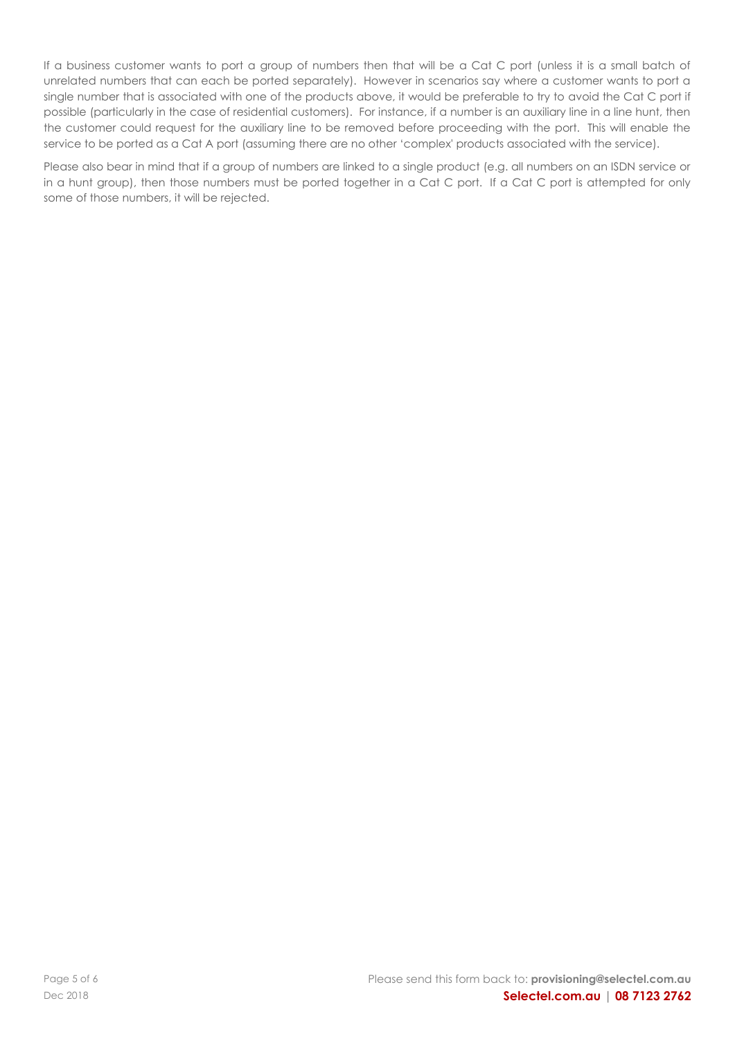If a business customer wants to port a group of numbers then that will be a Cat C port (unless it is a small batch of unrelated numbers that can each be ported separately). However in scenarios say where a customer wants to port a single number that is associated with one of the products above, it would be preferable to try to avoid the Cat C port if possible (particularly in the case of residential customers). For instance, if a number is an auxiliary line in a line hunt, then the customer could request for the auxiliary line to be removed before proceeding with the port. This will enable the service to be ported as a Cat A port (assuming there are no other 'complex' products associated with the service).

Please also bear in mind that if a group of numbers are linked to a single product (e.g. all numbers on an ISDN service or in a hunt group), then those numbers must be ported together in a Cat C port. If a Cat C port is attempted for only some of those numbers, it will be rejected.